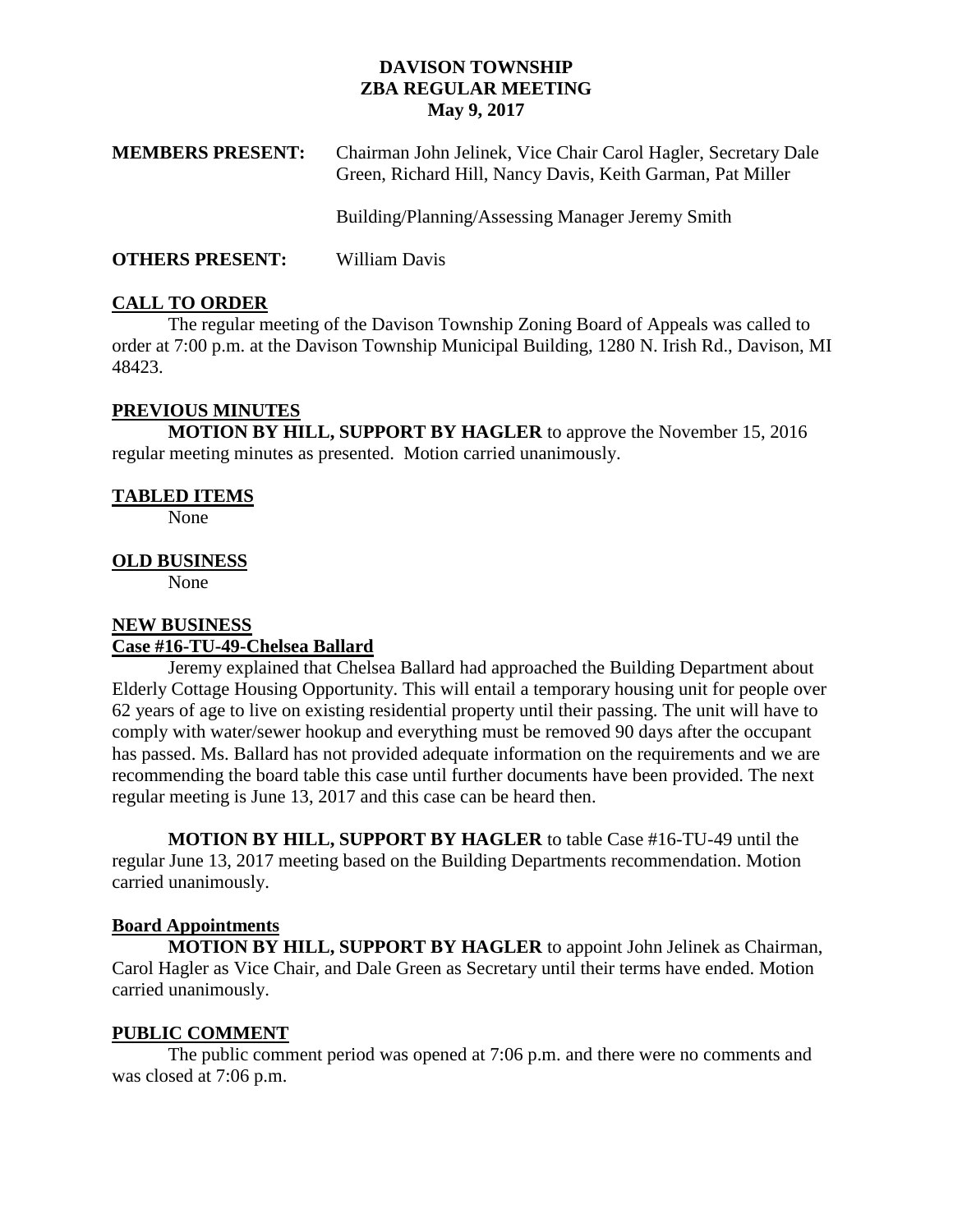## **DAVISON TOWNSHIP ZBA REGULAR MEETING May 9, 2017**

| <b>MEMBERS PRESENT:</b> | Chairman John Jelinek, Vice Chair Carol Hagler, Secretary Dale<br>Green, Richard Hill, Nancy Davis, Keith Garman, Pat Miller |
|-------------------------|------------------------------------------------------------------------------------------------------------------------------|
|                         | Building/Planning/Assessing Manager Jeremy Smith                                                                             |
| <b>OTHERS PRESENT:</b>  | William Davis                                                                                                                |

## **CALL TO ORDER**

The regular meeting of the Davison Township Zoning Board of Appeals was called to order at 7:00 p.m. at the Davison Township Municipal Building, 1280 N. Irish Rd., Davison, MI 48423.

## **PREVIOUS MINUTES**

**MOTION BY HILL, SUPPORT BY HAGLER** to approve the November 15, 2016 regular meeting minutes as presented. Motion carried unanimously.

## **TABLED ITEMS**

None

## **OLD BUSINESS**

None

# **NEW BUSINESS**

## **Case #16-TU-49-Chelsea Ballard**

Jeremy explained that Chelsea Ballard had approached the Building Department about Elderly Cottage Housing Opportunity. This will entail a temporary housing unit for people over 62 years of age to live on existing residential property until their passing. The unit will have to comply with water/sewer hookup and everything must be removed 90 days after the occupant has passed. Ms. Ballard has not provided adequate information on the requirements and we are recommending the board table this case until further documents have been provided. The next regular meeting is June 13, 2017 and this case can be heard then.

**MOTION BY HILL, SUPPORT BY HAGLER** to table Case #16-TU-49 until the regular June 13, 2017 meeting based on the Building Departments recommendation. Motion carried unanimously.

## **Board Appointments**

**MOTION BY HILL, SUPPORT BY HAGLER** to appoint John Jelinek as Chairman, Carol Hagler as Vice Chair, and Dale Green as Secretary until their terms have ended. Motion carried unanimously.

## **PUBLIC COMMENT**

The public comment period was opened at 7:06 p.m. and there were no comments and was closed at 7:06 p.m.